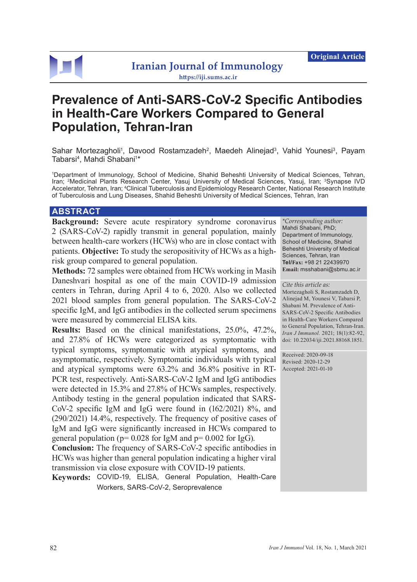

# **Prevalence of Anti-SARS-CoV-2 Specific Antibodies in Health-Care Workers Compared to General Population, Tehran-Iran**

Sahar Mortezagholi<sup>1</sup>, Davood Rostamzadeh<sup>2</sup>, Maedeh Alinejad<sup>3</sup>, Vahid Younesi<sup>3</sup>, Payam Tabarsi<sup>4</sup>, Mahdi Shabani<sup>1</sup>\*

1 Department of Immunology, School of Medicine, Shahid Beheshti University of Medical Sciences, Tehran, Iran; <sup>2</sup>Medicinal Plants Research Center, Yasuj University of Medical Sciences, Yasuj, Iran; <sup>3</sup>Synapse IVD Accelerator, Tehran, Iran; 4Clinical Tuberculosis and Epidemiology Research Center, National Research Institute of Tuberculosis and Lung Diseases, Shahid Beheshti University of Medical Sciences, Tehran, Iran

### **ABSTRACT**

**Background:** Severe acute respiratory syndrome coronavirus 2 (SARS-CoV-2) rapidly transmit in general population, mainly between health-care workers (HCWs) who are in close contact with patients. **Objective:** To study the seropositivity of HCWs as a highrisk group compared to general population.

**Methods:** 72 samples were obtained from HCWs working in Masih Daneshvari hospital as one of the main COVID-19 admission centers in Tehran, during April 4 to 6, 2020. Also we collected 2021 blood samples from general population. The SARS-CoV-2 specific IgM, and IgG antibodies in the collected serum specimens were measured by commercial ELISA kits.

**Results:** Based on the clinical manifestations, 25.0%, 47.2%, and 27.8% of HCWs were categorized as symptomatic with typical symptoms, symptomatic with atypical symptoms, and asymptomatic, respectively. Symptomatic individuals with typical and atypical symptoms were 63.2% and 36.8% positive in RT-PCR test, respectively. Anti-SARS-CoV-2 IgM and IgG antibodies were detected in 15.3% and 27.8% of HCWs samples, respectively. Antibody testing in the general population indicated that SARS-CoV-2 specific IgM and IgG were found in (162/2021) 8%, and (290/2021) 14.4%, respectively. The frequency of positive cases of IgM and IgG were significantly increased in HCWs compared to general population ( $p= 0.028$  for IgM and  $p= 0.002$  for IgG).

**Conclusion:** The frequency of SARS-CoV-2 specific antibodies in HCWs was higher than general population indicating a higher viral transmission via close exposure with COVID-19 patients.

**Keywords:** COVID-19, ELISA, General Population, Health-Care Workers, SARS-CoV-2, Seroprevalence

*\*Corresponding author:* Mahdi Shabani, PhD; Department of Immunology, School of Medicine, Shahid Beheshti University of Medical Sciences, Tehran, Iran **Tel/Fax:** +98 21 22439970 **Email:** msshabani@sbmu.ac.ir

#### *Cite this article as:*

Mortezagholi S, Rostamzadeh D, Alinejad M, Younesi V, Tabarsi P, Shabani M. Prevalence of Anti-SARS-CoV-2 Specific Antibodies in Health-Care Workers Compared to General Population, Tehran-Iran. *Iran J Immunol.* 2021; 18(1):82-92, doi: 10.22034/iji.2021.88168.1851.

Received: 2020-09-18 Revised: 2020-12-29 Accepted: 2021-01-10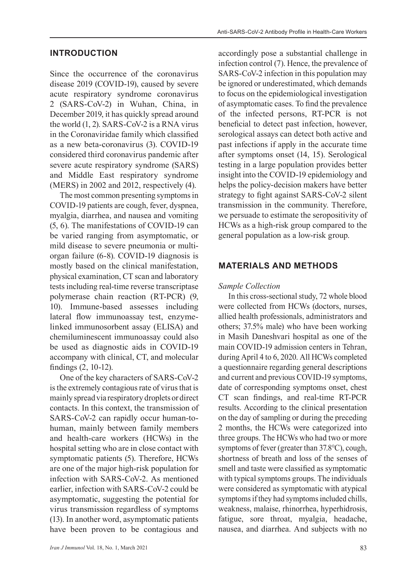Since the occurrence of the coronavirus disease 2019 (COVID-19), caused by severe acute respiratory syndrome coronavirus 2 (SARS-CoV-2) in Wuhan, China, in December 2019, it has quickly spread around the world (1, 2). SARS-CoV-2 is a RNA virus in the Coronaviridae family which classified as a new beta-coronavirus (3). COVID-19 considered third coronavirus pandemic after severe acute respiratory syndrome (SARS) and Middle East respiratory syndrome (MERS) in 2002 and 2012, respectively (4).

The most common presenting symptoms in COVID-19 patients are cough, fever, dyspnea, myalgia, diarrhea, and nausea and vomiting (5, 6). The manifestations of COVID-19 can be varied ranging from asymptomatic, or mild disease to severe pneumonia or multiorgan failure (6-8). COVID-19 diagnosis is mostly based on the clinical manifestation, physical examination, CT scan and laboratory tests including real-time reverse transcriptase polymerase chain reaction (RT-PCR) (9, 10). Immune-based assesses including lateral flow immunoassay test, enzymelinked immunosorbent assay (ELISA) and chemiluminescent immunoassay could also be used as diagnostic aids in COVID-19 accompany with clinical, CT, and molecular findings (2, 10-12).

One of the key characters of SARS-CoV-2 is the extremely contagious rate of virus that is mainly spread via respiratory droplets or direct contacts. In this context, the transmission of SARS-CoV-2 can rapidly occur human-tohuman, mainly between family members and health-care workers (HCWs) in the hospital setting who are in close contact with symptomatic patients (5). Therefore, HCWs are one of the major high-risk population for infection with SARS-CoV-2. As mentioned earlier, infection with SARS-CoV-2 could be asymptomatic, suggesting the potential for virus transmission regardless of symptoms (13). In another word, asymptomatic patients have been proven to be contagious and

accordingly pose a substantial challenge in infection control (7). Hence, the prevalence of SARS-CoV-2 infection in this population may be ignored or underestimated, which demands to focus on the epidemiological investigation of asymptomatic cases. To find the prevalence of the infected persons, RT-PCR is not beneficial to detect past infection, however, serological assays can detect both active and past infections if apply in the accurate time after symptoms onset (14, 15). Serological testing in a large population provides better insight into the COVID-19 epidemiology and helps the policy-decision makers have better strategy to fight against SARS-CoV-2 silent transmission in the community. Therefore, we persuade to estimate the seropositivity of HCWs as a high-risk group compared to the general population as a low-risk group.

### **MATERIALS AND METHODS**

### *Sample Collection*

In this cross-sectional study, 72 whole blood were collected from HCWs (doctors, nurses, allied health professionals, administrators and others; 37.5% male) who have been working in Masih Daneshvari hospital as one of the main COVID-19 admission centers in Tehran, during April 4 to 6, 2020. All HCWs completed a questionnaire regarding general descriptions and current and previous COVID-19 symptoms, date of corresponding symptoms onset, chest CT scan findings, and real-time RT-PCR results. According to the clinical presentation on the day of sampling or during the preceding 2 months, the HCWs were categorized into three groups. The HCWs who had two or more symptoms of fever (greater than 37.8°C), cough, shortness of breath and loss of the senses of smell and taste were classified as symptomatic with typical symptoms groups. The individuals were considered as symptomatic with atypical symptoms if they had symptoms included chills, weakness, malaise, rhinorrhea, hyperhidrosis, fatigue, sore throat, myalgia, headache, nausea, and diarrhea. And subjects with no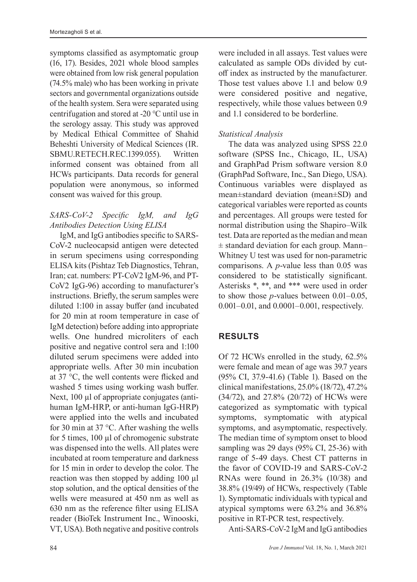symptoms classified as asymptomatic group (16, 17). Besides, 2021 whole blood samples were obtained from low risk general population (74.5% male) who has been working in private sectors and governmental organizations outside of the health system. Sera were separated using centrifugation and stored at -20 ℃ until use in the serology assay. This study was approved by Medical Ethical Committee of Shahid Beheshti University of Medical Sciences (IR. SBMU.RETECH.REC.1399.055). Written informed consent was obtained from all HCWs participants. Data records for general population were anonymous, so informed consent was waived for this group.

### *SARS-CoV-2 Specific IgM, and IgG Antibodies Detection Using ELISA*

IgM, and IgG antibodies specific to SARS-CoV-2 nucleocapsid antigen were detected in serum specimens using corresponding ELISA kits (Pishtaz Teb Diagnostics, Tehran, Iran; cat. numbers: PT-CoV2 IgM-96, and PT-CoV2 IgG-96) according to manufacturer's instructions. Briefly, the serum samples were diluted 1:100 in assay buffer (and incubated for 20 min at room temperature in case of IgM detection) before adding into appropriate wells. One hundred microliters of each positive and negative control sera and 1:100 diluted serum specimens were added into appropriate wells. After 30 min incubation at 37 °C, the well contents were flicked and washed 5 times using working wash buffer. Next, 100 µl of appropriate conjugates (antihuman IgM-HRP, or anti-human IgG-HRP) were applied into the wells and incubated for 30 min at 37 °C. After washing the wells for 5 times, 100 µl of chromogenic substrate was dispensed into the wells. All plates were incubated at room temperature and darkness for 15 min in order to develop the color. The reaction was then stopped by adding 100 µl stop solution, and the optical densities of the wells were measured at 450 nm as well as 630 nm as the reference filter using ELISA reader (BioTek Instrument Inc., Winooski, VT, USA). Both negative and positive controls

were included in all assays. Test values were calculated as sample ODs divided by cutoff index as instructed by the manufacturer. Those test values above 1.1 and below 0.9 were considered positive and negative, respectively, while those values between 0.9 and 1.1 considered to be borderline.

## *Statistical Analysis*

The data was analyzed using SPSS 22.0 software (SPSS Inc., Chicago, IL, USA) and GraphPad Prism software version 8.0 (GraphPad Software, Inc., San Diego, USA). Continuous variables were displayed as mean±standard deviation (mean±SD) and categorical variables were reported as counts and percentages. All groups were tested for normal distribution using the Shapiro–Wilk test. Data are reported as the median and mean  $±$  standard deviation for each group. Mann– Whitney U test was used for non-parametric comparisons. A *p*-value less than 0.05 was considered to be statistically significant. Asterisks \*, \*\*, and \*\*\* were used in order to show those *p*-values between 0.01–0.05, 0.001–0.01, and 0.0001–0.001, respectively.

# **RESULTS**

Of 72 HCWs enrolled in the study, 62.5% were female and mean of age was 39.7 years (95% CI, 37.9-41.6) (Table 1). Based on the clinical manifestations, 25.0% (18/72), 47.2% (34/72), and 27.8% (20/72) of HCWs were categorized as symptomatic with typical symptoms, symptomatic with atypical symptoms, and asymptomatic, respectively. The median time of symptom onset to blood sampling was 29 days (95% CI, 25-36) with range of 5-49 days. Chest CT patterns in the favor of COVID-19 and SARS-CoV-2 RNAs were found in 26.3% (10/38) and 38.8% (19/49) of HCWs, respectively (Table 1). Symptomatic individuals with typical and atypical symptoms were 63.2% and 36.8% positive in RT-PCR test, respectively.

Anti-SARS-CoV-2 IgM and IgG antibodies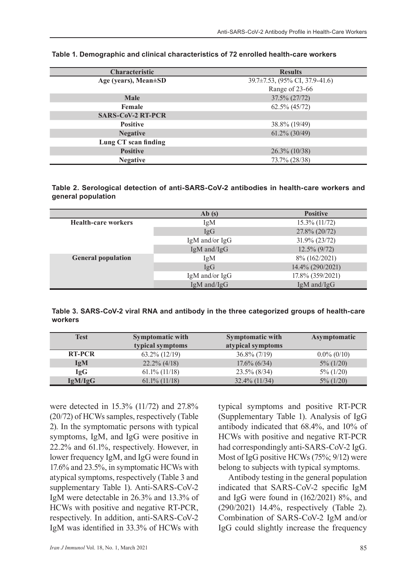| <b>Characteristic</b>    | <b>Results</b>                 |  |  |
|--------------------------|--------------------------------|--|--|
| Age (years), Mean±SD     | 39.7±7.53, (95% CI, 37.9-41.6) |  |  |
|                          | Range of 23-66                 |  |  |
| <b>Male</b>              | 37.5% (27/72)                  |  |  |
| Female                   | $62.5\%$ $(45/72)$             |  |  |
| <b>SARS-CoV-2 RT-PCR</b> |                                |  |  |
| <b>Positive</b>          | 38.8% (19/49)                  |  |  |
| <b>Negative</b>          | $61.2\%$ (30/49)               |  |  |
| Lung CT scan finding     |                                |  |  |
| <b>Positive</b>          | $26.3\%$ (10/38)               |  |  |
| <b>Negative</b>          | 73.7% (28/38)                  |  |  |

#### **Table 1. Demographic and clinical characteristics of 72 enrolled health-care workers**

| Table 2. Serological detection of anti-SARS-CoV-2 antibodies in health-care workers and |  |  |  |
|-----------------------------------------------------------------------------------------|--|--|--|
| general population                                                                      |  |  |  |

|                            | Ab(s)            | <b>Positive</b>  |
|----------------------------|------------------|------------------|
| <b>Health-care workers</b> | IgM              | $15.3\%$ (11/72) |
|                            | IgG              | 27.8% (20/72)    |
|                            | IgM and/or IgG   | 31.9% (23/72)    |
|                            | IgM and/IgG      | $12.5\%$ (9/72)  |
| <b>General population</b>  | IgM              | 8% (162/2021)    |
|                            | IgG              | 14.4% (290/2021) |
|                            | IgM and/or IgG   | 17.8% (359/2021) |
|                            | $IgM$ and/ $IgG$ | $IgM$ and/ $IgG$ |

#### **Table 3. SARS-CoV-2 viral RNA and antibody in the three categorized groups of health-care workers**

| <b>Test</b>   | <b>Symptomatic with</b> | <b>Symptomatic with</b> | Asymptomatic   |
|---------------|-------------------------|-------------------------|----------------|
|               | typical symptoms        | atypical symptoms       |                |
| <b>RT-PCR</b> | $63.2\%$ (12/19)        | $36.8\%$ (7/19)         | $0.0\%$ (0/10) |
| <b>IgM</b>    | $22.2\%$ (4/18)         | $17.6\%$ (6/34)         | $5\%$ (1/20)   |
| $I_2G$        | $61.1\%$ (11/18)        | $23.5\%$ (8/34)         | $5\%$ (1/20)   |
| IgM/IgG       | $61.1\%$ (11/18)        | $32.4\%$ (11/34)        | $5\%$ (1/20)   |

were detected in 15.3% (11/72) and 27.8% (20/72) of HCWs samples, respectively (Table 2). In the symptomatic persons with typical symptoms, IgM, and IgG were positive in 22.2% and 61.1%, respectively. However, in lower frequency IgM, and IgG were found in 17.6% and 23.5%, in symptomatic HCWs with atypical symptoms, respectively (Table 3 and supplementary Table 1). Anti-SARS-CoV-2 IgM were detectable in 26.3% and 13.3% of HCWs with positive and negative RT-PCR, respectively. In addition, anti-SARS-CoV-2 IgM was identified in 33.3% of HCWs with typical symptoms and positive RT-PCR (Supplementary Table 1). Analysis of IgG antibody indicated that 68.4%, and 10% of HCWs with positive and negative RT-PCR had correspondingly anti-SARS-CoV-2 IgG. Most of IgG positive HCWs (75%; 9/12) were belong to subjects with typical symptoms.

Antibody testing in the general population indicated that SARS-CoV-2 specific IgM and IgG were found in (162/2021) 8%, and (290/2021) 14.4%, respectively (Table 2). Combination of SARS-CoV-2 IgM and/or IgG could slightly increase the frequency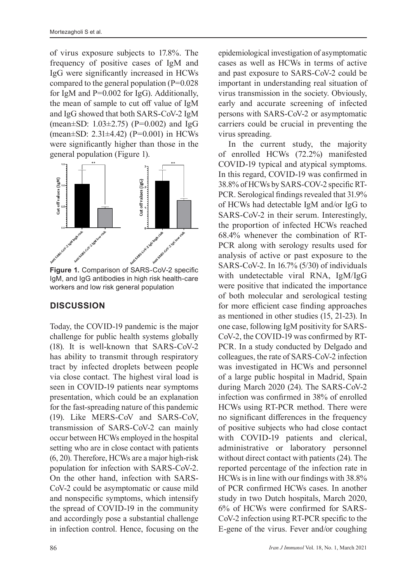of virus exposure subjects to 17.8%. The frequency of positive cases of IgM and IgG were significantly increased in HCWs compared to the general population  $(P=0.028)$ for IgM and  $P=0.002$  for IgG). Additionally, the mean of sample to cut off value of IgM and IgG showed that both SARS-CoV-2 IgM (mean $\pm$ SD: 1.03 $\pm$ 2.75) (P=0.002) and IgG (mean±SD: 2.31±4.42) (P=0.001) in HCWs were significantly higher than those in the general population (Figure 1).



IgM, and IgG antibodies in high risk health-care workers and low risk general population

# **DISCUSSION**

Today, the COVID-19 pandemic is the major challenge for public health systems globally (18). It is well-known that SARS-CoV-2 has ability to transmit through respiratory tract by infected droplets between people via close contact. The highest viral load is seen in COVID-19 patients near symptoms presentation, which could be an explanation for the fast-spreading nature of this pandemic (19). Like MERS-CoV and SARS-CoV, transmission of SARS-CoV-2 can mainly occur between HCWs employed in the hospital setting who are in close contact with patients (6, 20). Therefore, HCWs are a major high-risk population for infection with SARS-CoV-2. On the other hand, infection with SARS-CoV-2 could be asymptomatic or cause mild and nonspecific symptoms, which intensify the spread of COVID-19 in the community and accordingly pose a substantial challenge in infection control. Hence, focusing on the

epidemiological investigation of asymptomatic cases as well as HCWs in terms of active and past exposure to SARS-CoV-2 could be important in understanding real situation of virus transmission in the society. Obviously, early and accurate screening of infected persons with SARS-CoV-2 or asymptomatic carriers could be crucial in preventing the virus spreading.

In the current study, the majority of enrolled HCWs (72.2%) manifested COVID-19 typical and atypical symptoms. In this regard, COVID-19 was confirmed in 38.8% of HCWs by SARS-COV-2 specific RT-PCR. Serological findings revealed that 31.9% of HCWs had detectable IgM and/or IgG to SARS-CoV-2 in their serum. Interestingly, the proportion of infected HCWs reached 68.4% whenever the combination of RT-PCR along with serology results used for analysis of active or past exposure to the SARS-CoV-2. In 16.7% (5/30) of individuals with undetectable viral RNA, IgM/IgG were positive that indicated the importance of both molecular and serological testing for more efficient case finding approaches as mentioned in other studies (15, 21-23). In one case, following IgM positivity for SARS-CoV-2, the COVID-19 was confirmed by RT-PCR. In a study conducted by Delgado and colleagues, the rate of SARS-CoV-2 infection was investigated in HCWs and personnel of a large public hospital in Madrid, Spain during March 2020 (24). The SARS-CoV-2 infection was confirmed in 38% of enrolled HCWs using RT-PCR method. There were no significant differences in the frequency of positive subjects who had close contact with COVID-19 patients and clerical, administrative or laboratory personnel without direct contact with patients (24). The reported percentage of the infection rate in HCWs is in line with our findings with 38.8% of PCR confirmed HCWs cases. In another study in two Dutch hospitals, March 2020, 6% of HCWs were confirmed for SARS-CoV-2 infection using RT-PCR specific to the E-gene of the virus. Fever and/or coughing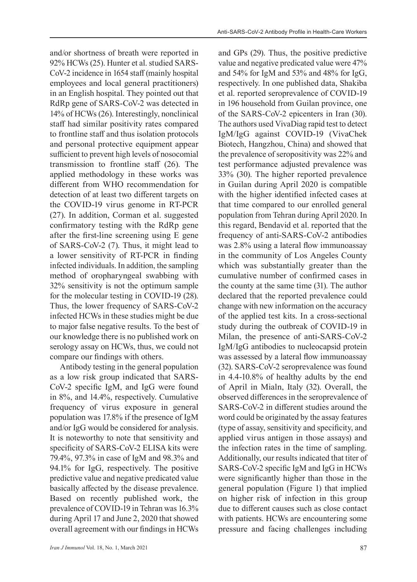*Iran J Immunol* Vol. 18, No. 1, March 2021 87

and/or shortness of breath were reported in 92% HCWs (25). Hunter et al. studied SARS-CoV-2 incidence in 1654 staff (mainly hospital employees and local general practitioners) in an English hospital. They pointed out that RdRp gene of SARS-CoV-2 was detected in 14% of HCWs (26). Interestingly, nonclinical staff had similar positivity rates compared to frontline staff and thus isolation protocols and personal protective equipment appear sufficient to prevent high levels of nosocomial transmission to frontline staff (26). The applied methodology in these works was different from WHO recommendation for detection of at least two different targets on the COVID-19 virus genome in RT-PCR (27). In addition, Corman et al. suggested confirmatory testing with the RdRp gene after the first-line screening using E gene of SARS-CoV-2 (7). Thus, it might lead to a lower sensitivity of RT-PCR in finding infected individuals. In addition, the sampling method of oropharyngeal swabbing with 32% sensitivity is not the optimum sample for the molecular testing in COVID-19 (28). Thus, the lower frequency of SARS-CoV-2 infected HCWs in these studies might be due to major false negative results. To the best of our knowledge there is no published work on serology assay on HCWs, thus, we could not compare our findings with others.

Antibody testing in the general population as a low risk group indicated that SARS-CoV-2 specific IgM, and IgG were found in 8%, and 14.4%, respectively. Cumulative frequency of virus exposure in general population was 17.8% if the presence of IgM and/or IgG would be considered for analysis. It is noteworthy to note that sensitivity and specificity of SARS-CoV-2 ELISA kits were 79.4%, 97.3% in case of IgM and 98.3% and 94.1% for IgG, respectively. The positive predictive value and negative predicated value basically affected by the disease prevalence. Based on recently published work, the prevalence of COVID-19 in Tehran was 16.3% during April 17 and June 2, 2020 that showed overall agreement with our findings in HCWs

and GPs (29). Thus, the positive predictive value and negative predicated value were 47% and 54% for IgM and 53% and 48% for IgG, respectively. In one published data, Shakiba et al. reported seroprevalence of COVID-19 in 196 household from Guilan province, one of the SARS-CoV-2 epicenters in Iran (30). The authors used VivaDiag rapid test to detect IgM/IgG against COVID-19 (VivaChek Biotech, Hangzhou, China) and showed that the prevalence of seropositivity was 22% and test performance adjusted prevalence was 33% (30). The higher reported prevalence in Guilan during April 2020 is compatible with the higher identified infected cases at that time compared to our enrolled general population from Tehran during April 2020. In this regard, Bendavid et al. reported that the frequency of anti-SARS-CoV-2 antibodies was 2.8% using a lateral flow immunoassay

in the community of Los Angeles County which was substantially greater than the cumulative number of confirmed cases in the county at the same time (31). The author declared that the reported prevalence could change with new information on the accuracy of the applied test kits. In a cross-sectional study during the outbreak of COVID-19 in Milan, the presence of anti-SARS-CoV-2 IgM/IgG antibodies to nucleocapsid protein was assessed by a lateral flow immunoassay (32). SARS-CoV-2 seroprevalence was found in 4.4-10.8% of healthy adults by the end of April in Mialn, Italy (32). Overall, the observed differences in the seroprevalence of SARS-CoV-2 in different studies around the word could be originated by the assay features (type of assay, sensitivity and specificity, and applied virus antigen in those assays) and the infection rates in the time of sampling. Additionally, our results indicated that titer of SARS-CoV-2 specific IgM and IgG in HCWs were significantly higher than those in the general population (Figure 1) that implied on higher risk of infection in this group due to different causes such as close contact with patients. HCWs are encountering some pressure and facing challenges including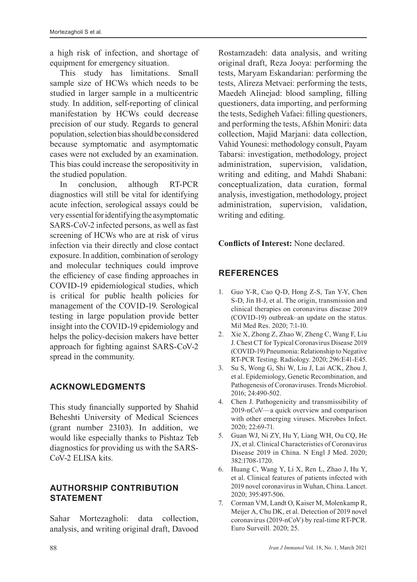a high risk of infection, and shortage of equipment for emergency situation.

This study has limitations. Small sample size of HCWs which needs to be studied in larger sample in a multicentric study. In addition, self-reporting of clinical manifestation by HCWs could decrease precision of our study. Regards to general population, selection bias should be considered because symptomatic and asymptomatic cases were not excluded by an examination. This bias could increase the seropositivity in the studied population.

In conclusion, although RT-PCR diagnostics will still be vital for identifying acute infection, serological assays could be very essential for identifying the asymptomatic SARS-CoV-2 infected persons, as well as fast screening of HCWs who are at risk of virus infection via their directly and close contact exposure. In addition, combination of serology and molecular techniques could improve the efficiency of case finding approaches in COVID-19 epidemiological studies, which is critical for public health policies for management of the COVID-19. Serological testing in large population provide better insight into the COVID-19 epidemiology and helps the policy-decision makers have better approach for fighting against SARS-CoV-2 spread in the community.

# **ACKNOWLEDGMENTS**

This study financially supported by Shahid Beheshti University of Medical Sciences (grant number 23103). In addition, we would like especially thanks to Pishtaz Teb diagnostics for providing us with the SARS-CoV-2 ELISA kits.

# **AUTHORSHIP CONTRIBUTION STATEMENT**

Sahar Mortezagholi: data collection, analysis, and writing original draft, Davood Rostamzadeh: data analysis, and writing original draft, Reza Jooya: performing the tests, Maryam Eskandarian: performing the tests, Alireza Metvaei: performing the tests, Maedeh Alinejad: blood sampling, filling questioners, data importing, and performing the tests, Sedigheh Vafaei: filling questioners, and performing the tests, Afshin Moniri: data collection, Majid Marjani: data collection, Vahid Younesi: methodology consult, Payam Tabarsi: investigation, methodology, project administration, supervision, validation, writing and editing, and Mahdi Shabani: conceptualization, data curation, formal analysis, investigation, methodology, project administration, supervision, validation, writing and editing.

### **Conflicts of Interest:** None declared.

# **REFERENCES**

- 1. Guo Y-R, Cao Q-D, Hong Z-S, Tan Y-Y, Chen S-D, Jin H-J, et al. The origin, transmission and clinical therapies on coronavirus disease 2019 (COVID-19) outbreak–an update on the status. Mil Med Res. 2020; 7:1-10.
- 2. Xie X, Zhong Z, Zhao W, Zheng C, Wang F, Liu J. Chest CT for Typical Coronavirus Disease 2019 (COVID-19) Pneumonia: Relationship to Negative RT-PCR Testing. Radiology. 2020; 296:E41-E45.
- 3. Su S, Wong G, Shi W, Liu J, Lai ACK, Zhou J, et al. Epidemiology, Genetic Recombination, and Pathogenesis of Coronaviruses. Trends Microbiol. 2016; 24:490-502.
- 4. Chen J. Pathogenicity and transmissibility of 2019-nCoV—a quick overview and comparison with other emerging viruses. Microbes Infect. 2020; 22:69-71.
- 5. Guan WJ, Ni ZY, Hu Y, Liang WH, Ou CQ, He JX, et al. Clinical Characteristics of Coronavirus Disease 2019 in China. N Engl J Med. 2020; 382:1708-1720.
- 6. Huang C, Wang Y, Li X, Ren L, Zhao J, Hu Y, et al. Clinical features of patients infected with 2019 novel coronavirus in Wuhan, China. Lancet. 2020; 395:497-506.
- 7. Corman VM, Landt O, Kaiser M, Molenkamp R, Meijer A, Chu DK, et al. Detection of 2019 novel coronavirus (2019-nCoV) by real-time RT-PCR. Euro Surveill. 2020; 25.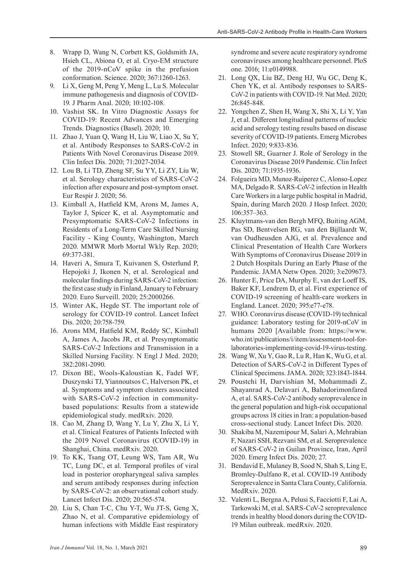- 8. Wrapp D, Wang N, Corbett KS, Goldsmith JA, Hsieh CL, Abiona O, et al. Cryo-EM structure of the 2019-nCoV spike in the prefusion conformation. Science. 2020; 367:1260-1263.
- 9. Li X, Geng M, Peng Y, Meng L, Lu S. Molecular immune pathogenesis and diagnosis of COVID-19. J Pharm Anal. 2020; 10:102-108.
- 10. Vashist SK. In Vitro Diagnostic Assays for COVID-19: Recent Advances and Emerging Trends. Diagnostics (Basel). 2020; 10.
- 11. Zhao J, Yuan Q, Wang H, Liu W, Liao X, Su Y, et al. Antibody Responses to SARS-CoV-2 in Patients With Novel Coronavirus Disease 2019. Clin Infect Dis. 2020; 71:2027-2034.
- 12. Lou B, Li TD, Zheng SF, Su YY, Li ZY, Liu W, et al. Serology characteristics of SARS-CoV-2 infection after exposure and post-symptom onset. Eur Respir J. 2020; 56.
- 13. Kimball A, Hatfield KM, Arons M, James A, Taylor J, Spicer K, et al. Asymptomatic and Presymptomatic SARS-CoV-2 Infections in Residents of a Long-Term Care Skilled Nursing Facility - King County, Washington, March 2020. MMWR Morb Mortal Wkly Rep. 2020; 69:377-381.
- 14. Haveri A, Smura T, Kuivanen S, Osterlund P, Hepojoki J, Ikonen N, et al. Serological and molecular findings during SARS-CoV-2 infection: the first case study in Finland, January to February 2020. Euro Surveill. 2020; 25:2000266.
- 15. Winter AK, Hegde ST. The important role of serology for COVID-19 control. Lancet Infect Dis. 2020; 20:758-759.
- 16. Arons MM, Hatfield KM, Reddy SC, Kimball A, James A, Jacobs JR, et al. Presymptomatic SARS-CoV-2 Infections and Transmission in a Skilled Nursing Facility. N Engl J Med. 2020; 382:2081-2090.
- 17. Dixon BE, Wools-Kaloustian K, Fadel WF, Duszynski TJ, Yiannoutsos C, Halverson PK, et al. Symptoms and symptom clusters associated with SARS-CoV-2 infection in communitybased populations: Results from a statewide epidemiological study. medRxiv. 2020.
- 18. Cao M, Zhang D, Wang Y, Lu Y, Zhu X, Li Y, et al. Clinical Features of Patients Infected with the 2019 Novel Coronavirus (COVID-19) in Shanghai, China. medRxiv. 2020.
- 19. To KK, Tsang OT, Leung WS, Tam AR, Wu TC, Lung DC, et al. Temporal profiles of viral load in posterior oropharyngeal saliva samples and serum antibody responses during infection by SARS-CoV-2: an observational cohort study. Lancet Infect Dis. 2020; 20:565-574.
- 20. Liu S, Chan T-C, Chu Y-T, Wu JT-S, Geng X, Zhao N, et al. Comparative epidemiology of human infections with Middle East respiratory

syndrome and severe acute respiratory syndrome coronaviruses among healthcare personnel. PloS one. 2016; 11:e0149988.

- 21. Long QX, Liu BZ, Deng HJ, Wu GC, Deng K, Chen YK, et al. Antibody responses to SARS-CoV-2 in patients with COVID-19. Nat Med. 2020; 26:845-848.
- 22. Yongchen Z, Shen H, Wang X, Shi X, Li Y, Yan J, et al. Different longitudinal patterns of nucleic acid and serology testing results based on disease severity of COVID-19 patients. Emerg Microbes Infect. 2020; 9:833-836.
- 23. Stowell SR, Guarner J. Role of Serology in the Coronavirus Disease 2019 Pandemic. Clin Infect Dis. 2020; 71:1935-1936.
- 24. Folgueira MD, Munoz-Ruiperez C, Alonso-Lopez MA, Delgado R. SARS-CoV-2 infection in Health Care Workers in a large public hospital in Madrid, Spain, during March 2020. J Hosp Infect. 2020; 106:357–363.
- 25. Kluytmans-van den Bergh MFQ, Buiting AGM, Pas SD, Bentvelsen RG, van den Bijllaardt W, van Oudheusden AJG, et al. Prevalence and Clinical Presentation of Health Care Workers With Symptoms of Coronavirus Disease 2019 in 2 Dutch Hospitals During an Early Phase of the Pandemic. JAMA Netw Open. 2020; 3:e209673.
- 26. Hunter E, Price DA, Murphy E, van der Loeff IS, Baker KF, Lendrem D, et al. First experience of COVID-19 screening of health-care workers in England. Lancet. 2020; 395:e77-e78.
- 27. WHO. Coronavirus disease (COVID-19) technical guidance: Laboratory testing for 2019-nCoV in humans 2020 [Available from: [https://www.](https://www.who.int/publications/i/item/assessment-tool-for-laboratories-implementing-covid-19-virus-testing) [who.int/publications/i/item/assessment-tool-for](https://www.who.int/publications/i/item/assessment-tool-for-laboratories-implementing-covid-19-virus-testing)[laboratories-implementing-covid-19-virus-testing](https://www.who.int/publications/i/item/assessment-tool-for-laboratories-implementing-covid-19-virus-testing).
- 28. Wang W, Xu Y, Gao R, Lu R, Han K, Wu G, et al. Detection of SARS-CoV-2 in Different Types of Clinical Specimens. JAMA. 2020; 323:1843-1844.
- 29. Poustchi H, Darvishian M, Mohammadi Z, Shayanrad A, Delavari A, Bahadorimonfared A, et al. SARS-CoV-2 antibody seroprevalence in the general population and high-risk occupational groups across 18 cities in Iran: a population-based cross-sectional study. Lancet Infect Dis. 2020.
- 30. Shakiba M, Nazemipour M, Salari A, Mehrabian F, Nazari SSH, Rezvani SM, et al. Seroprevalence of SARS-CoV-2 in Guilan Province, Iran, April 2020. Emerg Infect Dis. 2020; 27.
- 31. Bendavid E, Mulaney B, Sood N, Shah S, Ling E, Bromley-Dulfano R, et al. COVID-19 Antibody Seroprevalence in Santa Clara County, California. MedRxiv. 2020.
- 32. Valenti L, Bergna A, Pelusi S, Facciotti F, Lai A, Tarkowski M, et al. SARS-CoV-2 seroprevalence trends in healthy blood donors during the COVID-19 Milan outbreak. medRxiv. 2020.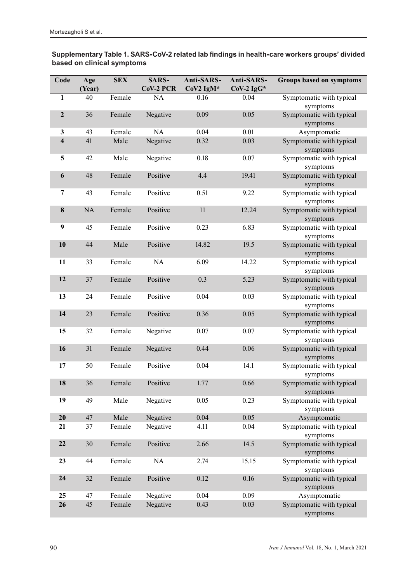#### **Supplementary Table 1. SARS-CoV-2 related lab findings in health-care workers groups' divided based on clinical symptoms**

| Code                    | Age<br>(Year) | <b>SEX</b> | SARS-<br>CoV-2 PCR | Anti-SARS-<br>$CoV2$ IgM* | Anti-SARS-<br>$CoV-2 IgG*$ | <b>Groups based on symptoms</b>      |
|-------------------------|---------------|------------|--------------------|---------------------------|----------------------------|--------------------------------------|
| 1                       | 40            | Female     | NA                 | 0.16                      | 0.04                       | Symptomatic with typical<br>symptoms |
| $\boldsymbol{2}$        | 36            | Female     | Negative           | 0.09                      | 0.05                       | Symptomatic with typical<br>symptoms |
| 3                       | 43            | Female     | NA                 | 0.04                      | 0.01                       | Asymptomatic                         |
| $\overline{\mathbf{4}}$ | 41            | Male       | Negative           | 0.32                      | 0.03                       | Symptomatic with typical<br>symptoms |
| 5                       | 42            | Male       | Negative           | 0.18                      | 0.07                       | Symptomatic with typical<br>symptoms |
| 6                       | 48            | Female     | Positive           | 4.4                       | 19.41                      | Symptomatic with typical<br>symptoms |
| 7                       | 43            | Female     | Positive           | 0.51                      | 9.22                       | Symptomatic with typical<br>symptoms |
| 8                       | NA            | Female     | Positive           | 11                        | 12.24                      | Symptomatic with typical<br>symptoms |
| 9                       | 45            | Female     | Positive           | 0.23                      | 6.83                       | Symptomatic with typical<br>symptoms |
| 10                      | 44            | Male       | Positive           | 14.82                     | 19.5                       | Symptomatic with typical<br>symptoms |
| 11                      | 33            | Female     | NA                 | 6.09                      | 14.22                      | Symptomatic with typical<br>symptoms |
| 12                      | 37            | Female     | Positive           | 0.3                       | 5.23                       | Symptomatic with typical<br>symptoms |
| 13                      | 24            | Female     | Positive           | 0.04                      | 0.03                       | Symptomatic with typical<br>symptoms |
| 14                      | 23            | Female     | Positive           | 0.36                      | 0.05                       | Symptomatic with typical<br>symptoms |
| 15                      | 32            | Female     | Negative           | 0.07                      | 0.07                       | Symptomatic with typical<br>symptoms |
| 16                      | 31            | Female     | Negative           | 0.44                      | 0.06                       | Symptomatic with typical<br>symptoms |
| 17                      | 50            | Female     | Positive           | 0.04                      | 14.1                       | Symptomatic with typical<br>symptoms |
| 18                      | 36            | Female     | Positive           | 1.77                      | 0.66                       | Symptomatic with typical<br>symptoms |
| 19                      | 49            | Male       | Negative           | 0.05                      | 0.23                       | Symptomatic with typical<br>symptoms |
| 20                      | 47            | Male       | Negative           | 0.04                      | 0.05                       | Asymptomatic                         |
| 21                      | 37            | Female     | Negative           | 4.11                      | 0.04                       | Symptomatic with typical<br>symptoms |
| 22                      | 30            | Female     | Positive           | 2.66                      | 14.5                       | Symptomatic with typical<br>symptoms |
| 23                      | 44            | Female     | NA                 | 2.74                      | 15.15                      | Symptomatic with typical<br>symptoms |
| 24                      | 32            | Female     | Positive           | 0.12                      | 0.16                       | Symptomatic with typical<br>symptoms |
| 25                      | 47            | Female     | Negative           | 0.04                      | 0.09                       | Asymptomatic                         |
| 26                      | 45            | Female     | Negative           | 0.43                      | 0.03                       | Symptomatic with typical<br>symptoms |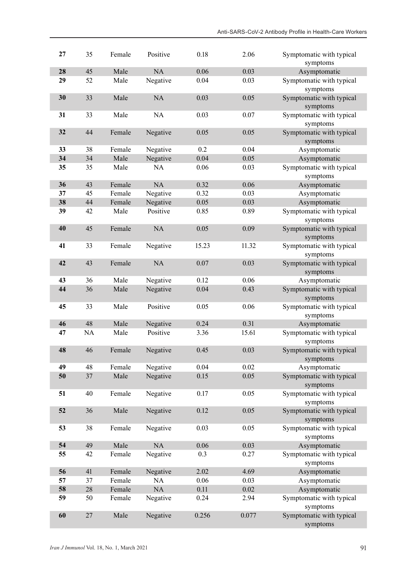| 27 | 35 | Female | Positive  | 0.18  | 2.06     | Symptomatic with typical             |
|----|----|--------|-----------|-------|----------|--------------------------------------|
| 28 |    |        |           |       |          | symptoms                             |
|    | 45 | Male   | NA        | 0.06  | 0.03     | Asymptomatic                         |
| 29 | 52 | Male   | Negative  | 0.04  | 0.03     | Symptomatic with typical<br>symptoms |
| 30 | 33 | Male   | NA        | 0.03  | 0.05     | Symptomatic with typical<br>symptoms |
| 31 | 33 | Male   | NA        | 0.03  | 0.07     | Symptomatic with typical<br>symptoms |
| 32 | 44 | Female | Negative  | 0.05  | 0.05     | Symptomatic with typical<br>symptoms |
| 33 | 38 | Female | Negative  | 0.2   | 0.04     | Asymptomatic                         |
| 34 | 34 | Male   | Negative  | 0.04  | 0.05     | Asymptomatic                         |
| 35 | 35 | Male   | <b>NA</b> | 0.06  | 0.03     | Symptomatic with typical<br>symptoms |
| 36 | 43 | Female | NA        | 0.32  | 0.06     | Asymptomatic                         |
| 37 | 45 | Female | Negative  | 0.32  | 0.03     | Asymptomatic                         |
| 38 | 44 | Female | Negative  | 0.05  | 0.03     | Asymptomatic                         |
| 39 | 42 | Male   | Positive  | 0.85  | 0.89     | Symptomatic with typical             |
|    |    |        |           |       |          | symptoms                             |
| 40 | 45 | Female | NA        | 0.05  | 0.09     | Symptomatic with typical<br>symptoms |
| 41 | 33 | Female | Negative  | 15.23 | 11.32    | Symptomatic with typical<br>symptoms |
| 42 | 43 | Female | NA        | 0.07  | 0.03     | Symptomatic with typical<br>symptoms |
| 43 | 36 | Male   | Negative  | 0.12  | 0.06     | Asymptomatic                         |
| 44 | 36 | Male   | Negative  | 0.04  | 0.43     | Symptomatic with typical<br>symptoms |
| 45 | 33 | Male   | Positive  | 0.05  | 0.06     | Symptomatic with typical<br>symptoms |
| 46 | 48 | Male   | Negative  | 0.24  | 0.31     | Asymptomatic                         |
| 47 | NA | Male   | Positive  | 3.36  | 15.61    | Symptomatic with typical             |
|    |    |        |           |       |          | symptoms                             |
| 48 | 46 | Female | Negative  | 0.45  | 0.03     | Symptomatic with typical<br>symptoms |
| 49 | 48 | Female | Negative  | 0.04  | 0.02     | Asymptomatic                         |
| 50 | 37 | Male   | Negative  | 0.15  | 0.05     | Symptomatic with typical<br>symptoms |
| 51 | 40 | Female | Negative  | 0.17  | 0.05     | Symptomatic with typical<br>symptoms |
| 52 | 36 | Male   | Negative  | 0.12  | 0.05     | Symptomatic with typical<br>symptoms |
| 53 | 38 | Female | Negative  | 0.03  | 0.05     | Symptomatic with typical<br>symptoms |
| 54 | 49 | Male   | NA        | 0.06  | 0.03     | Asymptomatic                         |
| 55 | 42 | Female | Negative  | 0.3   | 0.27     | Symptomatic with typical<br>symptoms |
| 56 | 41 | Female | Negative  | 2.02  | 4.69     | Asymptomatic                         |
| 57 | 37 | Female | NA        | 0.06  | 0.03     | Asymptomatic                         |
| 58 | 28 | Female | $\rm NA$  | 0.11  | $0.02\,$ | Asymptomatic                         |
| 59 | 50 | Female | Negative  | 0.24  | 2.94     | Symptomatic with typical             |
|    |    |        |           |       |          | symptoms                             |
| 60 | 27 | Male   | Negative  | 0.256 | 0.077    | Symptomatic with typical<br>symptoms |